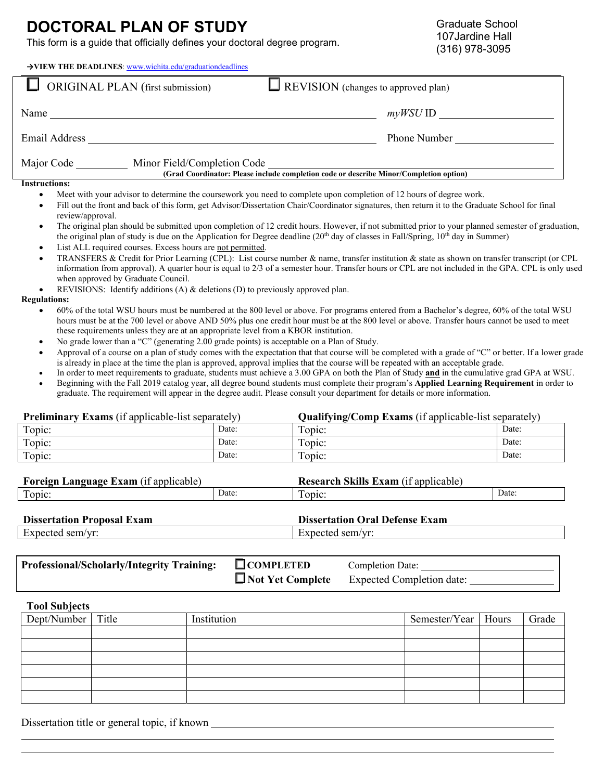## **DOCTORAL PLAN OF STUDY**

This form is a guide that officially defines your doctoral degree program.

| $\rightarrow$ VIEW THE DEADLINES: www.wichita.edu/graduationdeadlines |                                                                                        |
|-----------------------------------------------------------------------|----------------------------------------------------------------------------------------|
| <b>ORIGINAL PLAN</b> (first submission)                               | $\Box$ REVISION (changes to approved plan)                                             |
| Name                                                                  | $myWSU$ ID                                                                             |
| <b>Email Address</b>                                                  | Phone Number                                                                           |
| Major Code<br>Minor Field/Completion Code                             | (Grad Coordinator: Please include completion code or describe Minor/Completion option) |
| <b>Instructions:</b>                                                  |                                                                                        |

- Meet with your advisor to determine the coursework you need to complete upon completion of 12 hours of degree work.
- Fill out the front and back of this form, get Advisor/Dissertation Chair/Coordinator signatures, then return it to the Graduate School for final review/approval.
- The original plan should be submitted upon completion of 12 credit hours. However, if not submitted prior to your planned semester of graduation, the original plan of study is due on the Application for Degree deadline ( $20<sup>th</sup>$  day of classes in Fall/Spring,  $10<sup>th</sup>$  day in Summer)
- List ALL required courses. Excess hours are not permitted.
- TRANSFERS & Credit for Prior Learning (CPL): List course number & name, transfer institution & state as shown on transfer transcript (or CPL information from approval). A quarter hour is equal to 2/3 of a semester hour. Transfer hours or CPL are not included in the GPA. CPL is only used when approved by Graduate Council.
- REVISIONS: Identify additions (A)  $\&$  deletions (D) to previously approved plan.

## **Regulations:**

- 60% of the total WSU hours must be numbered at the 800 level or above. For programs entered from a Bachelor's degree, 60% of the total WSU hours must be at the 700 level or above AND 50% plus one credit hour must be at the 800 level or above. Transfer hours cannot be used to meet these requirements unless they are at an appropriate level from a KBOR institution.
- No grade lower than a "C" (generating 2.00 grade points) is acceptable on a Plan of Study.
- Approval of a course on a plan of study comes with the expectation that that course will be completed with a grade of "C" or better. If a lower grade is already in place at the time the plan is approved, approval implies that the course will be repeated with an acceptable grade.
- In order to meet requirements to graduate, students must achieve a 3.00 GPA on both the Plan of Study **and** in the cumulative grad GPA at WSU. • Beginning with the Fall 2019 catalog year, all degree bound students must complete their program's **Applied Learning Requirement** in order to
- graduate. The requirement will appear in the degree audit. Please consult your department for details or more information.

| <b>Preliminary Exams</b> (if applicable-list separately) |       | <b>Qualifying/Comp Exams</b> (if applicable-list separately) |       |  |  |
|----------------------------------------------------------|-------|--------------------------------------------------------------|-------|--|--|
| Topic:                                                   | Date: | Topic:                                                       | Date: |  |  |
| Topic:                                                   | Date: | Topic:                                                       | Date: |  |  |
| Topic:                                                   | Date: | Topic:                                                       | Date: |  |  |

| $\mathbf{r}$ | .9 nousce<br>rorew-<br>xam<br>applic<br>licable<br>и |       | $\bullet$ $\bullet$ $\bullet$<br>Jacaaroh<br><b>TAM</b><br>ann<br>licable |       |
|--------------|------------------------------------------------------|-------|---------------------------------------------------------------------------|-------|
|              | ODIC                                                 | Date: | opic:                                                                     | Date: |

| <b>Dissertation Proposal Exam</b> | <b>Dissertation Oral Defense Exam</b> |
|-----------------------------------|---------------------------------------|
| Expected sem/yr:                  | Expected sem/vr:                      |

| <b>Professional/Scholarly/Integrity Training:</b> | $\Box$ COMPLETED | <b>Completion Date:</b>                           |
|---------------------------------------------------|------------------|---------------------------------------------------|
|                                                   |                  | $\Box$ Not Yet Complete Expected Completion date: |

**Tool Subjects**

| Dept/Number Title | Institution | Semester/Year   Hours | Grade |
|-------------------|-------------|-----------------------|-------|
|                   |             |                       |       |
|                   |             |                       |       |
|                   |             |                       |       |
|                   |             |                       |       |
|                   |             |                       |       |
|                   |             |                       |       |

Dissertation title or general topic, if known